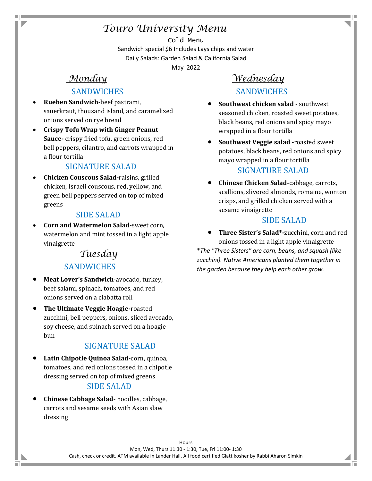# *Touro University Menu*

Cold Menu Sandwich special \$6 Includes Lays chips and water Daily Salads: Garden Salad & California Salad

May 2022

# *Monday*

### **SANDWICHES**

- **Rueben Sandwich-**beef pastrami, sauerkraut, thousand island, and caramelized onions served on rye bread
- **Crispy Tofu Wrap with Ginger Peanut Sauce-** crispy fried tofu, green onions, red bell peppers, cilantro, and carrots wrapped in a flour tortilla

### SIGNATURE SALAD

• **Chicken Couscous Salad-**raisins, grilled chicken, Israeli couscous, red, yellow, and green bell peppers served on top of mixed greens

### SIDE SALAD

• **Corn and Watermelon Salad-**sweet corn, watermelon and mint tossed in a light apple vinaigrette

### *Tuesday*

### **SANDWICHES**

- **Meat Lover's Sandwich**-avocado, turkey, beef salami, spinach, tomatoes, and red onions served on a ciabatta roll
- **The Ultimate Veggie Hoagie-**roasted zucchini, bell peppers, onions, sliced avocado, soy cheese, and spinach served on a hoagie bun

### SIGNATURE SALAD

• **Latin Chipotle Quinoa Salad-**corn, quinoa, tomatoes, and red onions tossed in a chipotle dressing served on top of mixed greens

### SIDE SALAD

• **Chinese Cabbage Salad-** noodles, cabbage, carrots and sesame seeds with Asian slaw dressing

m.

# *Wednesday* **SANDWICHES**

- **Southwest chicken salad -** southwest seasoned chicken, roasted sweet potatoes, black beans, red onions and spicy mayo wrapped in a flour tortilla
- **Southwest Veggie salad -**roasted sweet potatoes, black beans, red onions and spicy mayo wrapped in a flour tortilla SIGNATURE SALAD

# • **Chinese Chicken Salad-**cabbage, carrots,

scallions, slivered almonds, romaine, wonton crisps, and grilled chicken served with a sesame vinaigrette

#### SIDE SALAD

• **Three Sister's Salad\*-**zucchini, corn and red onions tossed in a light apple vinaigrette \**The "Three Sisters" are corn, beans, and squash (like zucchini). Native Americans planted them together in the garden because they help each other grow.*